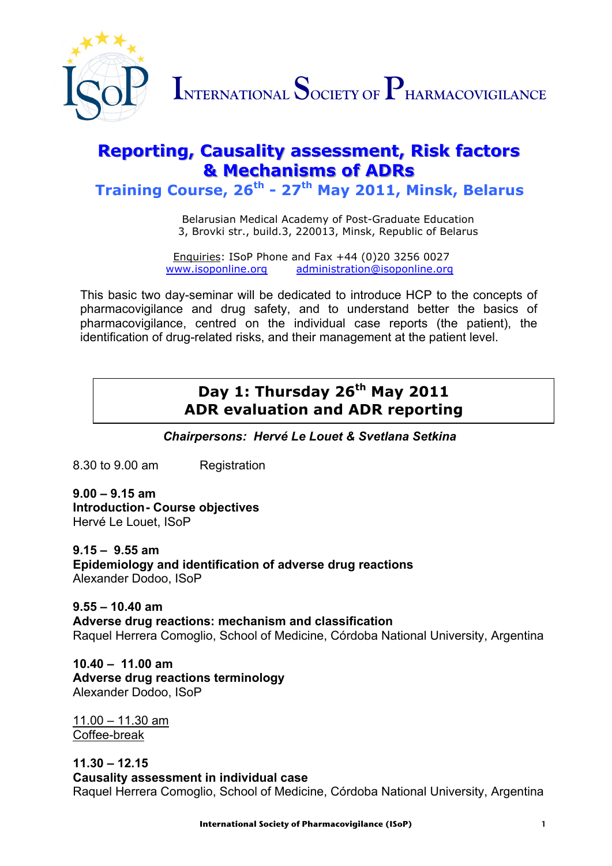

INTERNATIONAL SOCIETY OF PHARMACOVIGILANCE

# **Reporting, Causality assessment, Risk factors &** Mechanisms of ADRs

**Training Course, 26th - 27th May 2011, Minsk, Belarus**

Belarusian Medical Academy of Post-Graduate Education 3, Brovki str., build.3, 220013, Minsk, Republic of Belarus

Enquiries: ISoP Phone and Fax +44 (0)20 3256 0027<br>www.isoponline.org administration@isoponline.org administration@isoponline.org

This basic two day-seminar will be dedicated to introduce HCP to the concepts of pharmacovigilance and drug safety, and to understand better the basics of pharmacovigilance, centred on the individual case reports (the patient), the identification of drug-related risks, and their management at the patient level.

## **Day 1: Thursday 26th May 2011 ADR evaluation and ADR reporting**

*Chairpersons: Hervé Le Louet & Svetlana Setkina*

8.30 to 9.00 am Registration

**9.00 – 9.15 am Introduction- Course objectives**  Hervé Le Louet, ISoP

**9.15 – 9.55 am Epidemiology and identification of adverse drug reactions** Alexander Dodoo, ISoP

**9.55 – 10.40 am Adverse drug reactions: mechanism and classification** Raquel Herrera Comoglio, School of Medicine, Córdoba National University, Argentina

**10.40** *–* **11.00 am Adverse drug reactions terminology**  Alexander Dodoo, ISoP

11.00 – 11.30 am Coffee-break

**11.30 – 12.15 Causality assessment in individual case**  Raquel Herrera Comoglio, School of Medicine, Córdoba National University, Argentina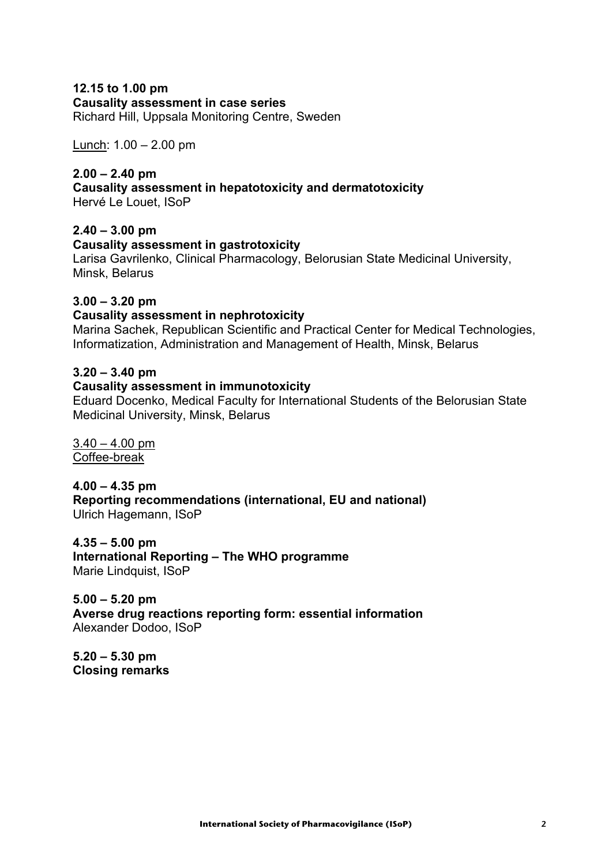### **12.15 to 1.00 pm**

**Causality assessment in case series**

Richard Hill, Uppsala Monitoring Centre, Sweden

Lunch: 1.00 – 2.00 pm

#### **2.00 – 2.40 pm**

**Causality assessment in hepatotoxicity and dermatotoxicity**

Hervé Le Louet, ISoP

#### **2.40 – 3.00 pm**

#### **Causality assessment in gastrotoxicity**

Larisa Gavrilenko, Clinical Pharmacology, Belorusian State Medicinal University, Minsk, Belarus

#### **3.00 – 3.20 pm**

#### **Causality assessment in nephrotoxicity**

Marina Sachek, Republican Scientific and Practical Center for Medical Technologies, Informatization, Administration and Management of Health, Minsk, Belarus

#### **3.20 – 3.40 pm**

#### **Causality assessment in immunotoxicity**

Eduard Docenko, Medical Faculty for International Students of the Belorusian State Medicinal University, Minsk, Belarus

 $3.40 - 4.00$  pm Coffee-break

**4.00 – 4.35 pm Reporting recommendations (international, EU and national)** Ulrich Hagemann, ISoP

**4.35 – 5.00 pm International Reporting – The WHO programme** Marie Lindquist, ISoP

**5.00 – 5.20 pm Averse drug reactions reporting form: essential information** Alexander Dodoo, ISoP

**5.20 – 5.30 pm Closing remarks**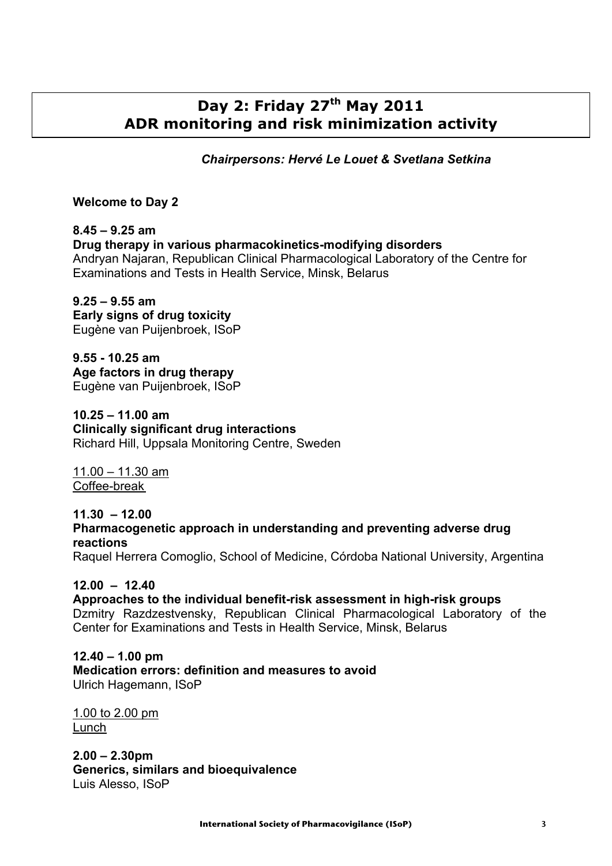## **Day 2: Friday 27th May 2011**  **ADR monitoring and risk minimization activity**

*Chairpersons: Hervé Le Louet & Svetlana Setkina*

#### **Welcome to Day 2**

#### **8.45 – 9.25 am Drug therapy in various pharmacokinetics-modifying disorders** Andryan Najaran, Republican Clinical Pharmacological Laboratory of the Centre for Examinations and Tests in Health Service, Minsk, Belarus

**9.25 – 9.55 am Early signs of drug toxicity** Eugène van Puijenbroek, ISoP

**9.55 - 10.25 am Age factors in drug therapy** Eugène van Puijenbroek, ISoP

**10.25 – 11.00 am Clinically significant drug interactions** Richard Hill, Uppsala Monitoring Centre, Sweden

11.00 – 11.30 am Coffee-break

**11.30 – 12.00 Pharmacogenetic approach in understanding and preventing adverse drug reactions**

Raquel Herrera Comoglio, School of Medicine, Córdoba National University, Argentina

#### **12.00 – 12.40**

**Approaches to the individual benefit-risk assessment in high-risk groups** Dzmitry Razdzestvensky, Republican Clinical Pharmacological Laboratory of the Center for Examinations and Tests in Health Service, Minsk, Belarus

**12.40 – 1.00 pm Medication errors: definition and measures to avoid** Ulrich Hagemann, ISoP

1.00 to 2.00 pm Lunch

**2.00 – 2.30pm Generics, similars and bioequivalence** Luis Alesso, ISoP